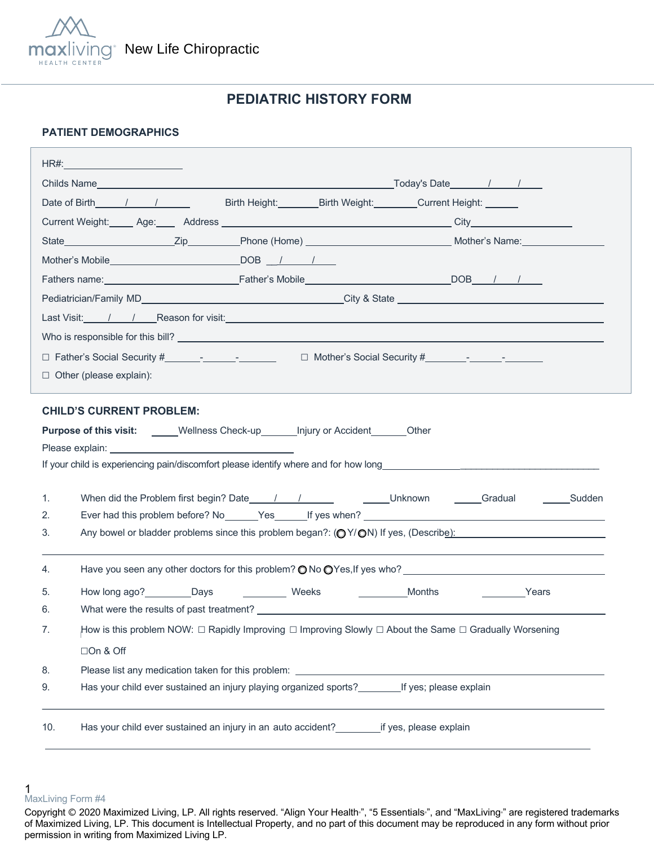

# **PEDIATRIC HISTORY FORM**

### **PATIENT DEMOGRAPHICS**

| Date of Birth 1 1                                                                                                                | Birth Height: Birth Weight: Current Height: Current Election |
|----------------------------------------------------------------------------------------------------------------------------------|--------------------------------------------------------------|
|                                                                                                                                  |                                                              |
|                                                                                                                                  |                                                              |
|                                                                                                                                  |                                                              |
|                                                                                                                                  |                                                              |
|                                                                                                                                  |                                                              |
| Last Visit: / / / Reason for visit: <u>Andreason and the contract of the contract of the contract of the contract of</u>         |                                                              |
|                                                                                                                                  |                                                              |
|                                                                                                                                  |                                                              |
| $\Box$ Other (please explain):                                                                                                   |                                                              |
|                                                                                                                                  |                                                              |
| <b>CHILD'S CURRENT PROBLEM:</b>                                                                                                  |                                                              |
| Purpose of this visit: _____Wellness Check-up_______Injury or Accident_______Other                                               |                                                              |
|                                                                                                                                  |                                                              |
|                                                                                                                                  |                                                              |
| 1.                                                                                                                               |                                                              |
| 2.                                                                                                                               |                                                              |
| Any bowel or bladder problems since this problem began?: $(QY/QN)$ If yes, (Describe):<br>3.                                     |                                                              |
|                                                                                                                                  |                                                              |
| Have you seen any other doctors for this problem? $\bigcirc$ No $\bigcirc$ Yes, If yes who?<br>4.                                |                                                              |
| 5.                                                                                                                               | Months<br><b>Example 25</b>                                  |
| 6.                                                                                                                               |                                                              |
| How is this problem NOW: $\Box$ Rapidly Improving $\Box$ Improving Slowly $\Box$ About the Same $\Box$ Gradually Worsening<br>7. |                                                              |
| □On & Off                                                                                                                        |                                                              |
|                                                                                                                                  |                                                              |
| 8.                                                                                                                               |                                                              |
| Has your child ever sustained an injury playing organized sports? If yes; please explain<br>9.                                   |                                                              |
|                                                                                                                                  |                                                              |

<sup>1</sup>  MaxLiving Form #4

Copyright © 2020 Maximized Living, LP. All rights reserved. "Align Your Health<sup>®</sup>, "5 Essentials<sup>®</sup>, and "MaxLiving<sup>®</sup> are registered trademarks of Maximized Living, LP. This document is Intellectual Property, and no part of this document may be reproduced in any form without prior permission in writing from Maximized Living LP.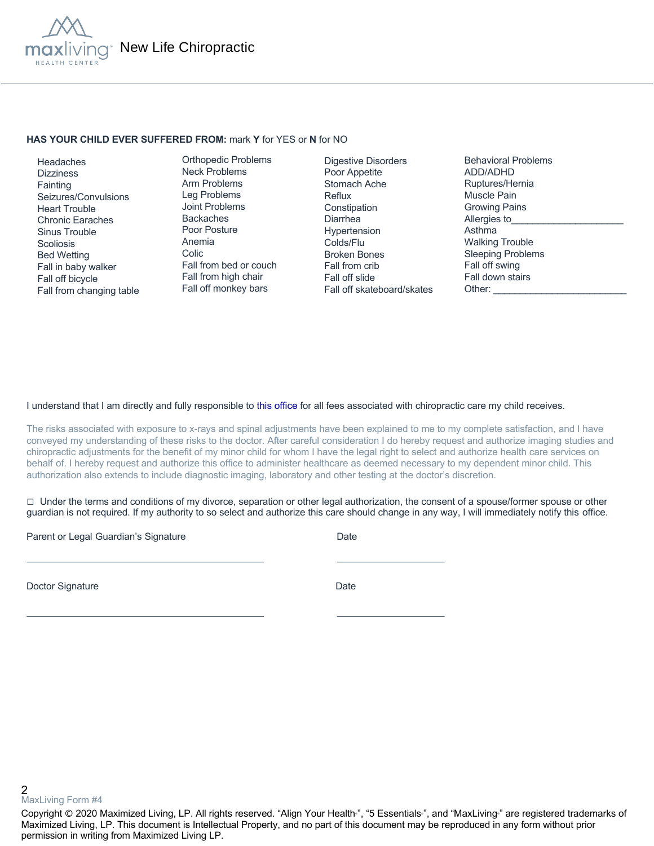

### **HAS YOUR CHILD EVER SUFFERED FROM:** mark **Y** for YES or **N** for NO

 Headaches **Dizziness Fainting**  Seizures/Convulsions Heart Trouble Chronic Earaches Sinus Trouble **Scoliosis**  Bed Wetting Fall in baby walker Fall off bicycle Fall from changing table

Orthopedic Problems Neck Problems Arm Problems Leg Problems Joint Problems Backaches Poor Posture Anemia Colic Fall from bed or couch Fall from high chair Fall off monkey bars

Digestive Disorders Poor Appetite Stomach Ache Reflux Constipation Diarrhea Hypertension Colds/Flu Broken Bones Fall from crib Fall off slide Fall off skateboard/skates Behavioral Problems ADD/ADHD Ruptures/Hernia Muscle Pain Growing Pains Allergies to Asthma Walking Trouble Sleeping Problems Fall off swing Fall down stairs Other:

#### I understand that I am directly and fully responsible to this office for all fees associated with chiropractic care my child receives.

The risks associated with exposure to x-rays and spinal adjustments have been explained to me to my complete satisfaction, and I have conveyed my understanding of these risks to the doctor. After careful consideration I do hereby request and authorize imaging studies and chiropractic adjustments for the benefit of my minor child for whom I have the legal right to select and authorize health care services on behalf of. I hereby request and authorize this office to administer healthcare as deemed necessary to my dependent minor child. This authorization also extends to include diagnostic imaging, laboratory and other testing at the doctor's discretion.

 $\Box$  Under the terms and conditions of my divorce, separation or other legal authorization, the consent of a spouse/former spouse or other guardian is not required. If my authority to so select and authorize this care should change in any way, I will immediately notify this office.

Parent or Legal Guardian's Signature Date Date

Doctor Signature Date

2 MaxLiving Form #4

Copyright © 2020 Maximized Living, LP. All rights reserved. "Align Your Health<sub>"</sub>, "5 Essentials<sub>"</sub>, and "MaxLiving<sub>"</sub> are registered trademarks of Maximized Living, LP. This document is Intellectual Property, and no part of this document may be reproduced in any form without prior permission in writing from Maximized Living LP.